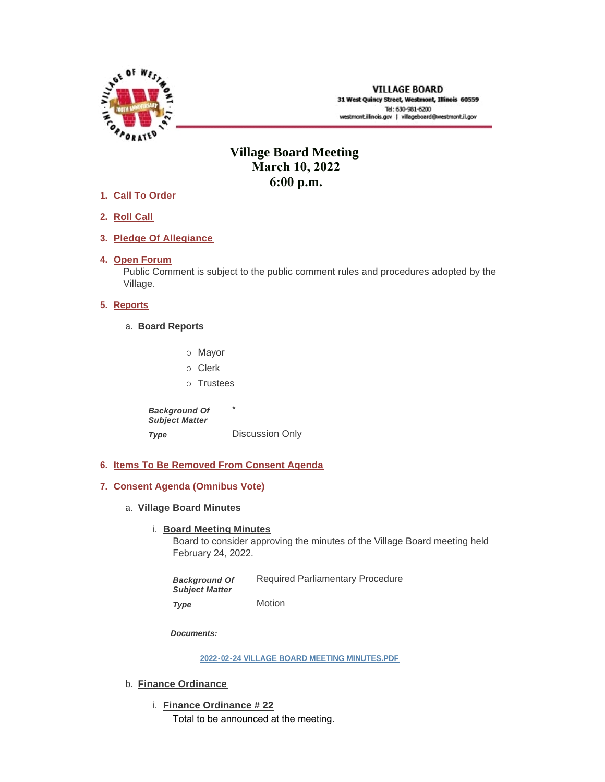

# **Village Board Meeting March 10, 2022 6:00 p.m.**

- **Call To Order 1.**
- **Roll Call 2.**
- **Pledge Of Allegiance 3.**
- 4. Open Forum

Public Comment is subject to the public comment rules and procedures adopted by the Village.

# **5.** Reports

- **Board Reports** a.
	- o Mayor
	- o Clerk
	- o Trustees

\* Discussion Only *Background Of Subject Matter Type* 

- **Items To Be Removed From Consent Agenda 6.**
- **Consent Agenda (Omnibus Vote) 7.**
	- **Village Board Minutes** a.
		- **Board Meeting Minutes**

Board to consider approving the minutes of the Village Board meeting held February 24, 2022.

Required Parliamentary Procedure Motion *Background Of Subject Matter* 

*Type* 

*Documents:*

**[2022-02-24 VILLAGE BOARD MEETING MINUTES.PDF](https://westmont.illinois.gov/AgendaCenter/ViewFile/Item/8524?fileID=12618)**

- b. **Finance Ordinance** 
	- **Finance Ordinance # 22** i.

Total to be announced at the meeting.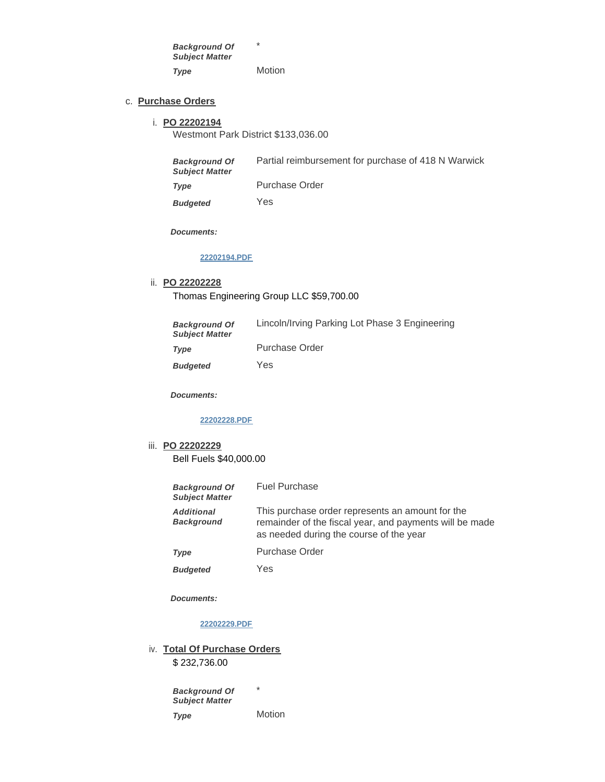\* Motion *Background Of Subject Matter Type* 

### **Purchase Orders** c.

#### **PO 22202194** i.

Westmont Park District \$133,036.00

| <b>Background Of</b>  | Partial reimbursement for purchase of 418 N Warwick |
|-----------------------|-----------------------------------------------------|
| <b>Subject Matter</b> |                                                     |

Purchase Order *Type* 

Yes *Budgeted* 

*Documents:*

#### **[22202194.PDF](https://westmont.illinois.gov/AgendaCenter/ViewFile/Item/8532?fileID=12617)**

#### **PO 22202228** ii.

Thomas Engineering Group LLC \$59,700.00

| <b>Background Of</b><br><b>Subject Matter</b> | Lincoln/Irving Parking Lot Phase 3 Engineering |
|-----------------------------------------------|------------------------------------------------|
| Type                                          | Purchase Order                                 |
| <b>Budgeted</b>                               | Yes                                            |

*Documents:*

#### **[22202228.PDF](https://westmont.illinois.gov/AgendaCenter/ViewFile/Item/8530?fileID=12615)**

# **PO 22202229** iii. Bell Fuels \$40,000.00

| <b>Background Of</b><br><b>Subject Matter</b> | <b>Fuel Purchase</b>                                                                                                                                   |
|-----------------------------------------------|--------------------------------------------------------------------------------------------------------------------------------------------------------|
| <b>Additional</b><br><b>Background</b>        | This purchase order represents an amount for the<br>remainder of the fiscal year, and payments will be made<br>as needed during the course of the year |
| Type                                          | Purchase Order                                                                                                                                         |
| <b>Budgeted</b>                               | Yes                                                                                                                                                    |

*Budgeted* 

*Documents:*

### **[22202229.PDF](https://westmont.illinois.gov/AgendaCenter/ViewFile/Item/8531?fileID=12616)**

iv. Total Of Purchase Orders

\$ 232,736.00

\* *Background Of Subject Matter* 

Motion *Type*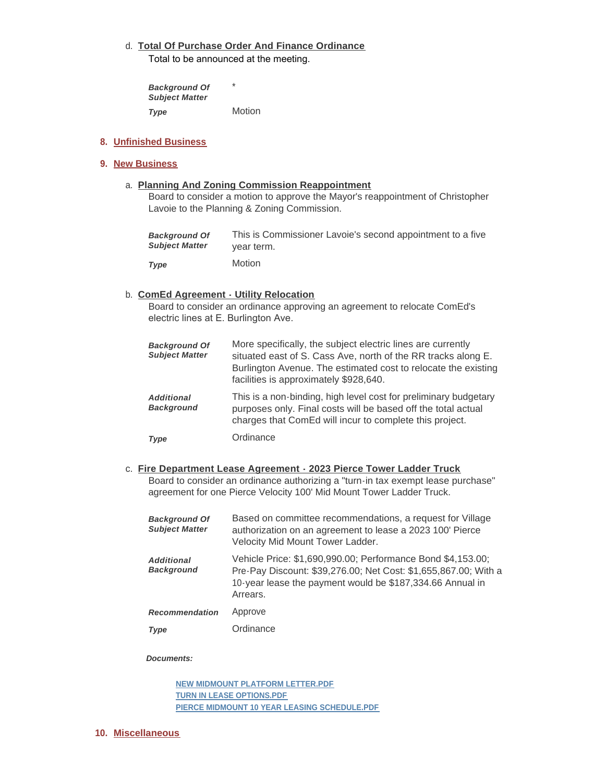# **Total Of Purchase Order And Finance Ordinance** d.

Total to be announced at the meeting.

\* Motion *Background Of Subject Matter Type* 

# **Unfinished Business 8.**

# **New Business 9.**

**Planning And Zoning Commission Reappointment**  a.

Board to consider a motion to approve the Mayor's reappointment of Christopher Lavoie to the Planning & Zoning Commission.

| <b>Background Of</b>  | This is Commissioner Lavoie's second appointment to a five |
|-----------------------|------------------------------------------------------------|
| <b>Subject Matter</b> | vear term.                                                 |
| Type                  | <b>Motion</b>                                              |

# **ComEd Agreement - Utility Relocation** b.

Board to consider an ordinance approving an agreement to relocate ComEd's electric lines at E. Burlington Ave.

| <b>Background Of</b><br><b>Subject Matter</b> | More specifically, the subject electric lines are currently<br>situated east of S. Cass Ave, north of the RR tracks along E.<br>Burlington Avenue. The estimated cost to relocate the existing<br>facilities is approximately \$928,640. |
|-----------------------------------------------|------------------------------------------------------------------------------------------------------------------------------------------------------------------------------------------------------------------------------------------|
| <b>Additional</b><br><b>Background</b>        | This is a non-binding, high level cost for preliminary budgetary<br>purposes only. Final costs will be based off the total actual<br>charges that ComEd will incur to complete this project.                                             |
| Type                                          | Ordinance                                                                                                                                                                                                                                |

### **Fire Department Lease Agreement - 2023 Pierce Tower Ladder Truck** c. Board to consider an ordinance authorizing a "turn-in tax exempt lease purchase" agreement for one Pierce Velocity 100' Mid Mount Tower Ladder Truck.

| <b>Background Of</b><br><b>Subject Matter</b> | Based on committee recommendations, a request for Village<br>authorization on an agreement to lease a 2023 100' Pierce<br>Velocity Mid Mount Tower Ladder.                                              |
|-----------------------------------------------|---------------------------------------------------------------------------------------------------------------------------------------------------------------------------------------------------------|
| <b>Additional</b><br><b>Background</b>        | Vehicle Price: \$1,690,990.00; Performance Bond \$4,153.00;<br>Pre-Pay Discount: \$39,276.00; Net Cost: \$1,655,867.00; With a<br>10-year lease the payment would be \$187,334.66 Annual in<br>Arrears. |
| <b>Recommendation</b>                         | Approve                                                                                                                                                                                                 |
| Type                                          | Ordinance                                                                                                                                                                                               |

### *Documents:*

**[NEW MIDMOUNT PLATFORM LETTER.PDF](https://westmont.illinois.gov/AgendaCenter/ViewFile/Item/8533?fileID=12619) [TURN IN LEASE OPTIONS.PDF](https://westmont.illinois.gov/AgendaCenter/ViewFile/Item/8533?fileID=12620) [PIERCE MIDMOUNT 10 YEAR LEASING SCHEDULE.PDF](https://westmont.illinois.gov/AgendaCenter/ViewFile/Item/8533?fileID=12621)**

### **Miscellaneous 10.**